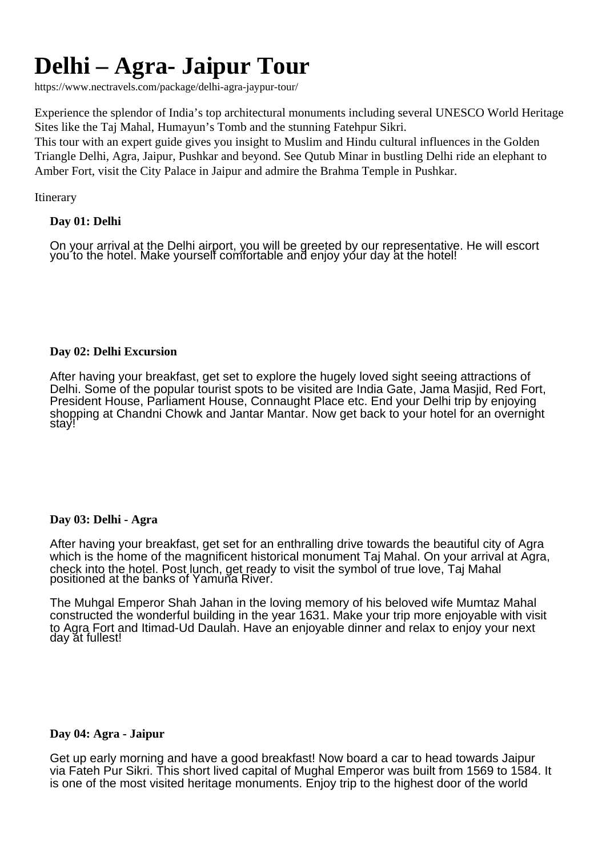# **Delhi – Agra- Jaipur Tour**

https://www.nectravels.com/package/delhi-agra-jaypur-tour/

Experience the splendor of India's top architectural monuments including several UNESCO World Heritage Sites like the Taj Mahal, Humayun's Tomb and the stunning Fatehpur Sikri.

This tour with an expert guide gives you insight to Muslim and Hindu cultural influences in the Golden Triangle Delhi, Agra, Jaipur, Pushkar and beyond. See Qutub Minar in bustling Delhi ride an elephant to Amber Fort, visit the City Palace in Jaipur and admire the Brahma Temple in Pushkar.

Itinerary

# **Day 01: Delhi**

On your arrival at the Delhi airport, you will be greeted by our representative. He will escort you to the hotel. Make yourself comfortable and enjoy your day at the hotel!

## **Day 02: Delhi Excursion**

After having your breakfast, get set to explore the hugely loved sight seeing attractions of Delhi. Some of the popular tourist spots to be visited are India Gate, Jama Masjid, Red Fort, President House, Parliament House, Connaught Place etc. End your Delhi trip by enjoying shopping at Chandni Chowk and Jantar Mantar. Now get back to your hotel for an overnight stay!

## **Day 03: Delhi - Agra**

After having your breakfast, get set for an enthralling drive towards the beautiful city of Agra which is the home of the magnificent historical monument Taj Mahal. On your arrival at Agra, check into the hotel. Post lunch, get ready to visit the symbol of true love, Taj Mahal positioned at the banks of Yamuna River.

The Muhgal Emperor Shah Jahan in the loving memory of his beloved wife Mumtaz Mahal constructed the wonderful building in the year 1631. Make your trip more enjoyable with visit to Agra Fort and Itimad-Ud Daulah. Have an enjoyable dinner and relax to enjoy your next day at fullest!

## **Day 04: Agra - Jaipur**

Get up early morning and have a good breakfast! Now board a car to head towards Jaipur via Fateh Pur Sikri. This short lived capital of Mughal Emperor was built from 1569 to 1584. It is one of the most visited heritage monuments. Enjoy trip to the highest door of the world